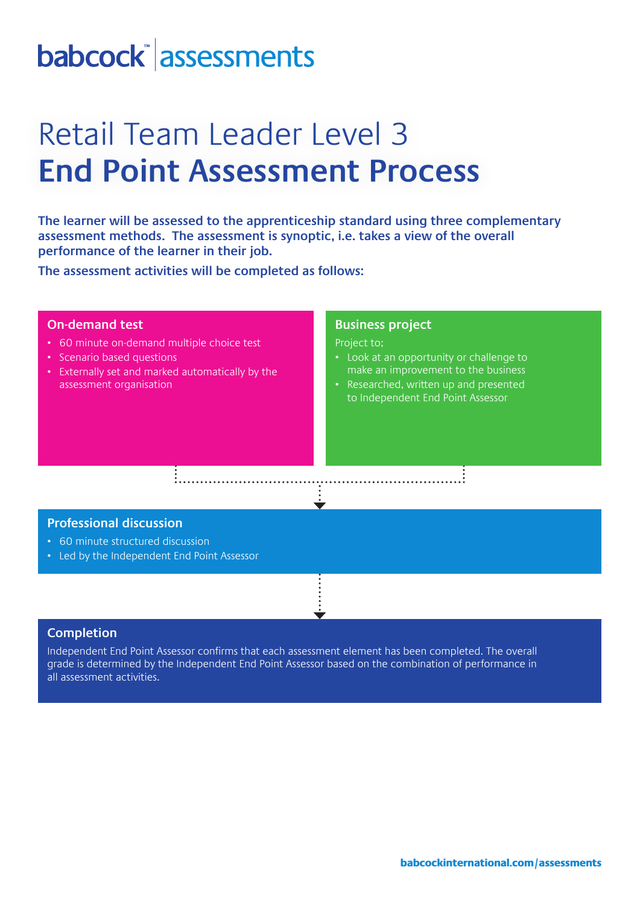# babcock assessments

## Retail Team Leader Level 3 **End Point Assessment Process**

**The learner will be assessed to the apprenticeship standard using three complementary assessment methods. The assessment is synoptic, i.e. takes a view of the overall performance of the learner in their job.** 

**The assessment activities will be completed as follows:**

### **On-demand test** • 60 minute on-demand multiple choice test • Scenario based questions • Externally set and marked automatically by the assessment organisation **Business project**  Project to; • Look at an opportunity or challenge to make an improvement to the business • Researched, written up and presented to Independent End Point Assessor

#### **Professional discussion**

- 60 minute structured discussion
- Led by the Independent End Point Assessor

#### **Completion**

Independent End Point Assessor confirms that each assessment element has been completed. The overall grade is determined by the Independent End Point Assessor based on the combination of performance in all assessment activities.